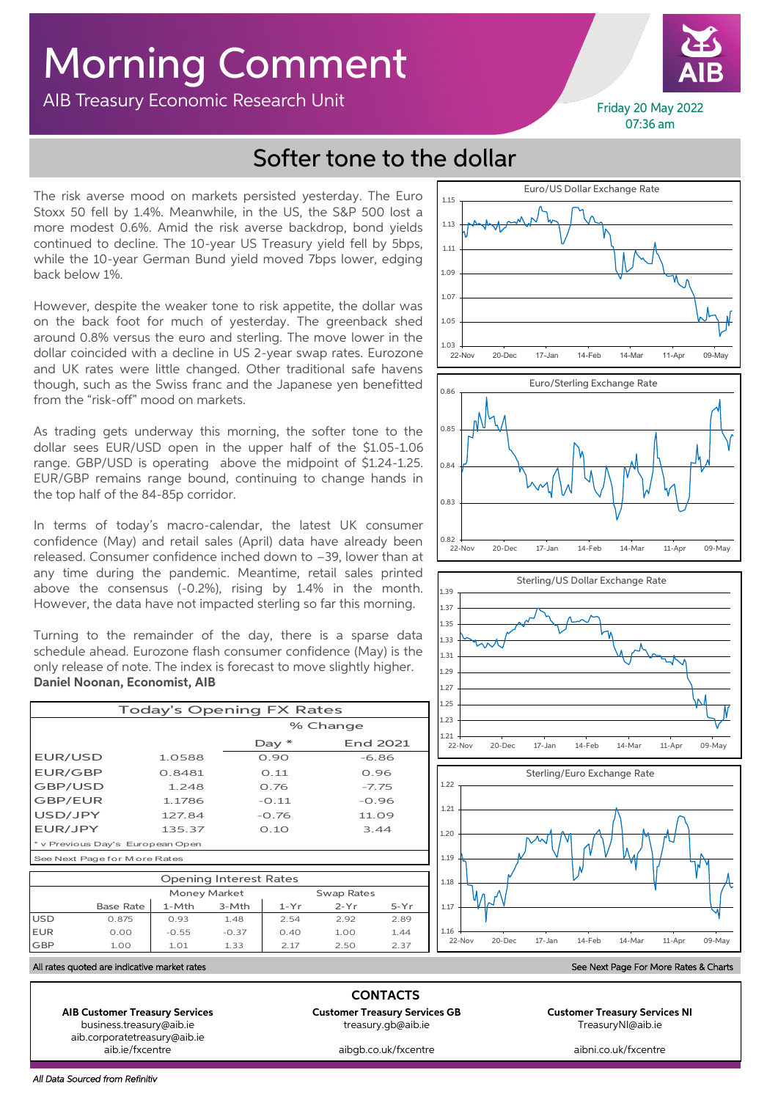## Morning Comment

AIB Treasury Economic Research Unit



Friday 20 May 2022 07:36 am

## Softer tone to the dollar

The risk averse mood on markets persisted yesterday. The Euro Stoxx 50 fell by 1.4%. Meanwhile, in the US, the S&P 500 lost a more modest 0.6%. Amid the risk averse backdrop, bond yields continued to decline. The 10-year US Treasury yield fell by 5bps, while the 10-year German Bund yield moved 7bps lower, edging back below 1%.

However, despite the weaker tone to risk appetite, the dollar was on the back foot for much of yesterday. The greenback shed around 0.8% versus the euro and sterling. The move lower in the dollar coincided with a decline in US 2-year swap rates. Eurozone and UK rates were little changed. Other traditional safe havens though, such as the Swiss franc and the Japanese yen benefitted from the "risk-off" mood on markets.

As trading gets underway this morning, the softer tone to the dollar sees EUR/USD open in the upper half of the \$1.05-1.06 range. GBP/USD is operating above the midpoint of \$1.24-1.25. EUR/GBP remains range bound, continuing to change hands in the top half of the 84-85p corridor.

In terms of today's macro-calendar, the latest UK consumer confidence (May) and retail sales (April) data have already been released. Consumer confidence inched down to –39, lower than at any time during the pandemic. Meantime, retail sales printed above the consensus (-0.2%), rising by 1.4% in the month. However, the data have not impacted sterling so far this morning.

Turning to the remainder of the day, there is a sparse data schedule ahead. Eurozone flash consumer confidence (May) is the only release of note. The index is forecast to move slightly higher. **Daniel Noonan, Economist, AIB**

| <b>Today's Opening FX Rates</b>  |        |          |          |  |  |
|----------------------------------|--------|----------|----------|--|--|
|                                  |        | % Change |          |  |  |
|                                  |        | Day $*$  | End 2021 |  |  |
| EUR/USD                          | 1.0588 | 0.90     | $-6.86$  |  |  |
| <b>EUR/GBP</b>                   | 0.8481 | O.11     | 0.96     |  |  |
| GBP/USD                          | 1.248  | 0.76     | $-7.75$  |  |  |
| GBP/EUR                          | 1.1786 | $-0.11$  | $-0.96$  |  |  |
| USD/JPY                          | 127.84 | $-0.76$  | 11.09    |  |  |
| EUR/JPY                          | 135.37 | 0.10     | 3.44     |  |  |
| * v Previous Day's European Open |        |          |          |  |  |
| See Next Page for M ore Rates    |        |          |          |  |  |

| <b>Opening Interest Rates</b> |                  |                     |         |            |        |        |
|-------------------------------|------------------|---------------------|---------|------------|--------|--------|
|                               |                  | <b>Money Market</b> |         | Swap Rates |        |        |
|                               | <b>Base Rate</b> | $1-Mth$             | $3-Mth$ | $1-Yr$     | $2-Yr$ | $5-Yr$ |
| <b>USD</b>                    | 0.875            | 0.93                | 1.48    | 2.54       | 2.92   | 2.89   |
| <b>EUR</b>                    | 0.00             | $-0.55$             | $-0.37$ | 0.40       | 1.00   | 1.44   |
| <b>GBP</b>                    | 1.00             | 1.01                | 1.33    | 2 17       | 2.50   | 2.37   |







## All rates quoted are indicative market rates See Next Page For More Rates & Charts

**AIB Customer Treasury Services Customer Treasury Services GB Customer Treasury Services NI** aib.corporatetreasury@aib.ie<br>aib.je/fxcentre

**CONTACTS** business.treasury@aib.ie treasury.gb@aib.ie TreasuryNI@aib.ie

aibgb.co.uk/fxcentre aibni.co.uk/fxcentre